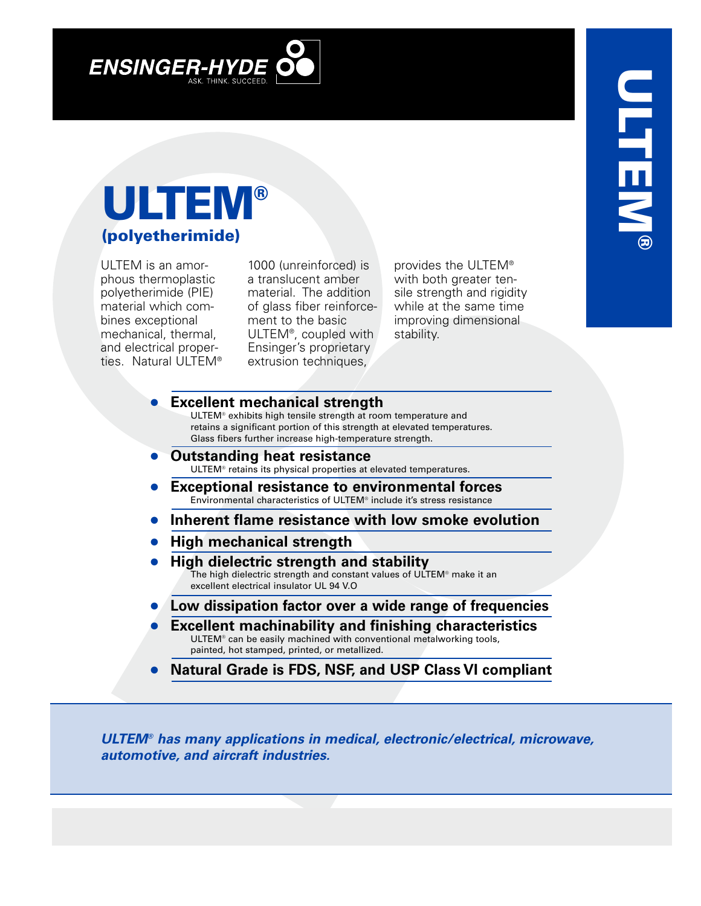

## **ULTEM ® (polyetherimide)**

ULTEM is an amorphous thermoplastic polyetherimide (PIE) material which combines exceptional mechanical, thermal, and electrical properties. Natural ULTEM®

1000 (unreinforced) is a translucent amber material. The addition of glass fiber reinforcement to the basic ULTEM®, coupled with Ensinger's proprietary extrusion techniques,

provides the ULTEM® with both greater tensile strength and rigidity while at the same time improving dimensional stability.

## **• Excellent mechanical strength**

ULTEM® exhibits high tensile strength at room temperature and retains a significant portion of this strength at elevated temperatures. Glass fibers further increase high-temperature strength.

- **• Outstanding heat resistance** ULTEM® retains its physical properties at elevated temperatures.
- **• Exceptional resistance to environmental forces** Environmental characteristics of ULTEM® include it's stress resistance
- **• Inherent flame resistance with low smoke evolution**
- **• High mechanical strength**
- **• High dielectric strength and stability** The high dielectric strength and constant values of ULTEM® make it an excellent electrical insulator UL 94 V.O
- **• Low dissipation factor over a wide range of frequencies**
- **• Excellent machinability and finishing characteristics** ULTEM® can be easily machined with conventional metalworking tools, painted, hot stamped, printed, or metallized.
- **• Natural Grade is FDS, NSF, and USP Class VI compliant**

*ULTEM® has many applications in medical, electronic/electrical, microwave, automotive, and aircraft industries.*